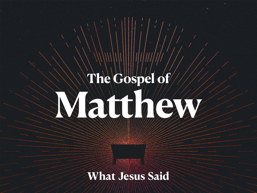# **The Gospel of Matthewatt Street**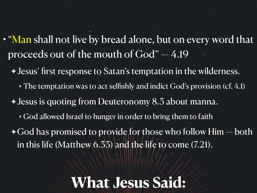- "Man shall not live by bread alone, but on every word that proceeds out of the mouth of God" — 4.19
	- ✦ Jesus' first response to Satan's temptation in the wilderness.  $\rightarrow$  The temptation was to act selfishly and indict God's provision (cf. 4.1) ✦ Jesus is quoting from Deuteronomy 8.3 about manna. ‣ God allowed Israel to hunger in order to bring them to faith  $\rightarrow$  God has promised to provide for those who follow Him  $-$  both in this life (Matthew  $(6.35)$  and the life to come (7.21).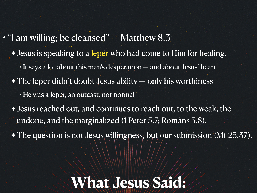• "I am willing; be cleansed" — Matthew 8.3 ✦ Jesus is speaking to a leper who had come to Him for healing.  $\rightarrow$  It says a lot about this man's desperation — and about Jesus' heart  $\rightarrow$  The leper didn't doubt Jesus ability — only his worthiness ‣ He was a leper, an outcast, not normal ✦ Jesus reached out, and continues to reach out, to the weak, the undone, and the marginalized (1 Peter 5.7; Romans 5.8). ✦ The question is not Jesus willingness, but our submission (Mt 23.37).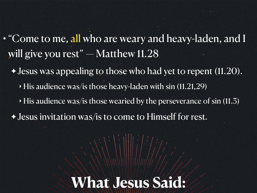- "Come to me, all who are weary and heavy-laden, and I will give you rest"  $-$  Matthew 11.28
	- ✦ Jesus was appealing to those who had yet to repent (11.20).
		- $\rightarrow$  His audience was/is those heavy-laden with sin (11.21,29)
		- $\rightarrow$  His audience was/is those wearied by the perseverance of sin (11.3)
	- ✦ Jesus invitation was/is to come to Himself for rest.

# **What Jesus Said:**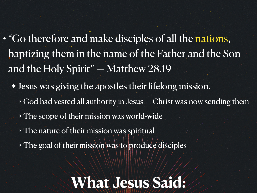- "Go therefore and make disciples of all the nations, baptizing them in the name of the Father and the Son and the Holy Spirit" — Matthew 28.19
	- ✦ Jesus was giving the apostles their lifelong mission.
		- $\rightarrow$  God had vested all authority in Jesus Christ was now sending them
		- ‣ The scope of their mission was world-wide
		- ‣ The nature of their mission was spiritual
		- ‣ The goal of their mission was to produce disciples